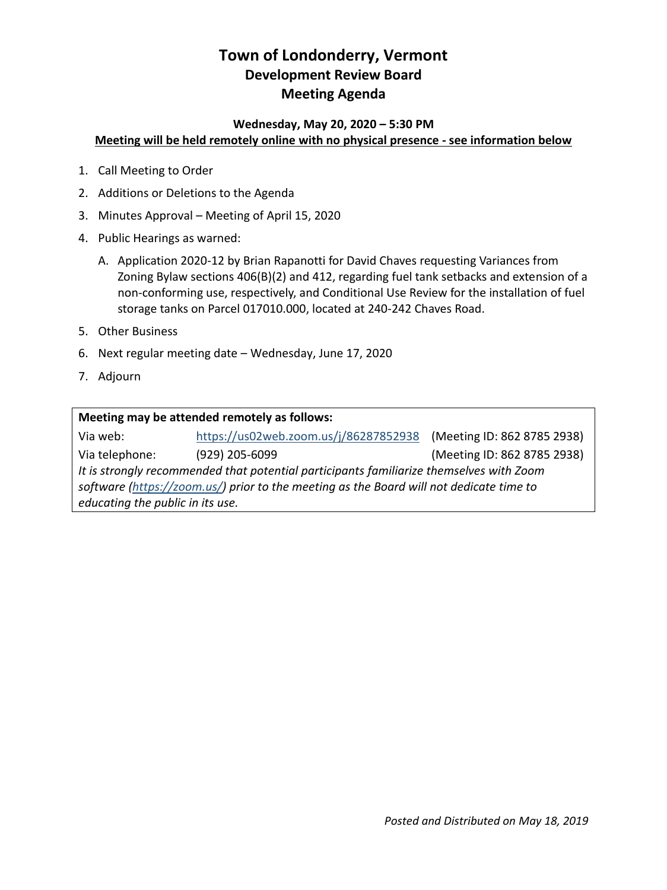# **Town of Londonderry, Vermont Development Review Board Meeting Agenda**

### **Wednesday, May 20, 2020 – 5:30 PM Meeting will be held remotely online with no physical presence - see information below**

- 1. Call Meeting to Order
- 2. Additions or Deletions to the Agenda
- 3. Minutes Approval Meeting of April 15, 2020
- 4. Public Hearings as warned:
	- A. Application 2020-12 by Brian Rapanotti for David Chaves requesting Variances from Zoning Bylaw sections 406(B)(2) and 412, regarding fuel tank setbacks and extension of a non-conforming use, respectively, and Conditional Use Review for the installation of fuel storage tanks on Parcel 017010.000, located at 240-242 Chaves Road.
- 5. Other Business
- 6. Next regular meeting date Wednesday, June 17, 2020
- 7. Adjourn

| Meeting may be attended remotely as follows:                                            |                                       |                             |
|-----------------------------------------------------------------------------------------|---------------------------------------|-----------------------------|
| Via web:                                                                                | https://us02web.zoom.us/j/86287852938 | (Meeting ID: 862 8785 2938) |
| Via telephone:                                                                          | (929) 205-6099                        | (Meeting ID: 862 8785 2938) |
| It is strongly recommended that potential participants familiarize themselves with Zoom |                                       |                             |
| software (https://zoom.us/) prior to the meeting as the Board will not dedicate time to |                                       |                             |
| educating the public in its use.                                                        |                                       |                             |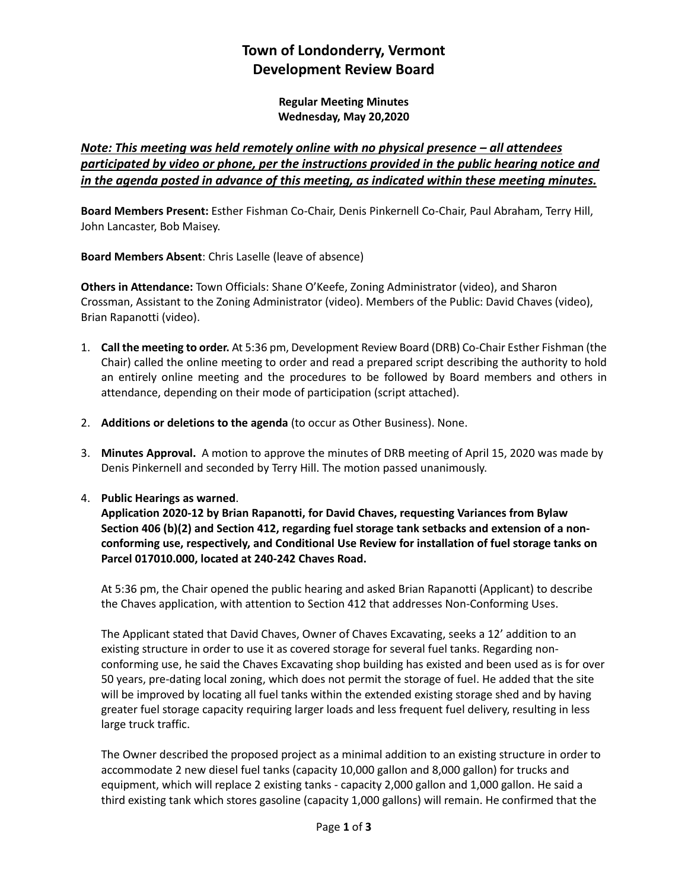## **Town of Londonderry, Vermont Development Review Board**

**Regular Meeting Minutes Wednesday, May 20,2020**

### *Note: This meeting was held remotely online with no physical presence – all attendees participated by video or phone, per the instructions provided in the public hearing notice and in the agenda posted in advance of this meeting, as indicated within these meeting minutes.*

**Board Members Present:** Esther Fishman Co-Chair, Denis Pinkernell Co-Chair, Paul Abraham, Terry Hill, John Lancaster, Bob Maisey.

**Board Members Absent**: Chris Laselle (leave of absence)

**Others in Attendance:** Town Officials: Shane O'Keefe, Zoning Administrator (video), and Sharon Crossman, Assistant to the Zoning Administrator (video). Members of the Public: David Chaves (video), Brian Rapanotti (video).

- 1. **Call the meeting to order.** At 5:36 pm, Development Review Board (DRB) Co-Chair Esther Fishman (the Chair) called the online meeting to order and read a prepared script describing the authority to hold an entirely online meeting and the procedures to be followed by Board members and others in attendance, depending on their mode of participation (script attached).
- 2. **Additions or deletions to the agenda** (to occur as Other Business). None.
- 3. **Minutes Approval.** A motion to approve the minutes of DRB meeting of April 15, 2020 was made by Denis Pinkernell and seconded by Terry Hill. The motion passed unanimously.

### 4. **Public Hearings as warned**.

**Application 2020-12 by Brian Rapanotti, for David Chaves, requesting Variances from Bylaw Section 406 (b)(2) and Section 412, regarding fuel storage tank setbacks and extension of a nonconforming use, respectively, and Conditional Use Review for installation of fuel storage tanks on Parcel 017010.000, located at 240-242 Chaves Road.**

At 5:36 pm, the Chair opened the public hearing and asked Brian Rapanotti (Applicant) to describe the Chaves application, with attention to Section 412 that addresses Non-Conforming Uses.

The Applicant stated that David Chaves, Owner of Chaves Excavating, seeks a 12' addition to an existing structure in order to use it as covered storage for several fuel tanks. Regarding nonconforming use, he said the Chaves Excavating shop building has existed and been used as is for over 50 years, pre-dating local zoning, which does not permit the storage of fuel. He added that the site will be improved by locating all fuel tanks within the extended existing storage shed and by having greater fuel storage capacity requiring larger loads and less frequent fuel delivery, resulting in less large truck traffic.

The Owner described the proposed project as a minimal addition to an existing structure in order to accommodate 2 new diesel fuel tanks (capacity 10,000 gallon and 8,000 gallon) for trucks and equipment, which will replace 2 existing tanks - capacity 2,000 gallon and 1,000 gallon. He said a third existing tank which stores gasoline (capacity 1,000 gallons) will remain. He confirmed that the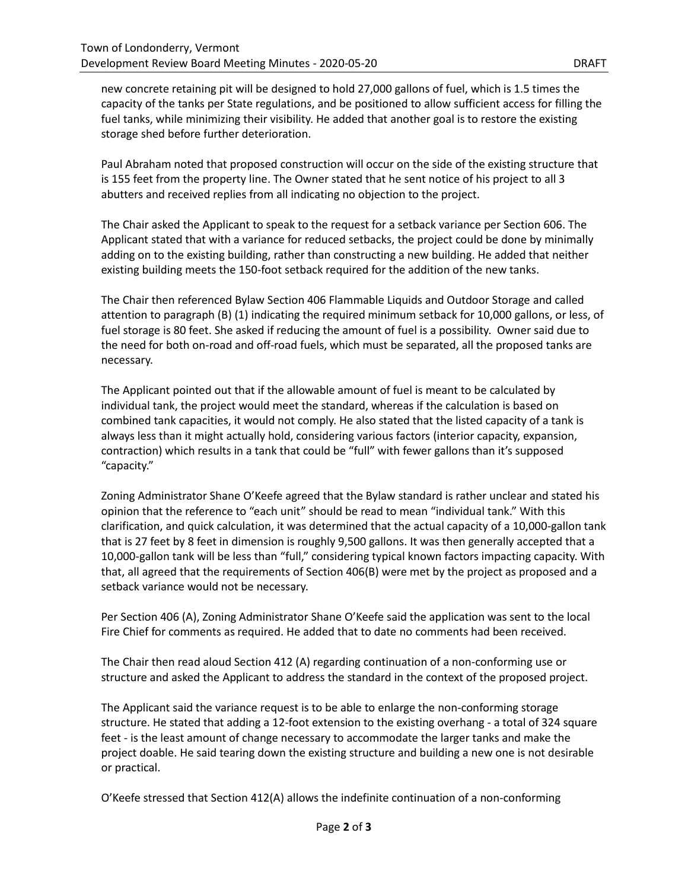new concrete retaining pit will be designed to hold 27,000 gallons of fuel, which is 1.5 times the capacity of the tanks per State regulations, and be positioned to allow sufficient access for filling the fuel tanks, while minimizing their visibility. He added that another goal is to restore the existing storage shed before further deterioration.

Paul Abraham noted that proposed construction will occur on the side of the existing structure that is 155 feet from the property line. The Owner stated that he sent notice of his project to all 3 abutters and received replies from all indicating no objection to the project.

The Chair asked the Applicant to speak to the request for a setback variance per Section 606. The Applicant stated that with a variance for reduced setbacks, the project could be done by minimally adding on to the existing building, rather than constructing a new building. He added that neither existing building meets the 150-foot setback required for the addition of the new tanks.

The Chair then referenced Bylaw Section 406 Flammable Liquids and Outdoor Storage and called attention to paragraph (B) (1) indicating the required minimum setback for 10,000 gallons, or less, of fuel storage is 80 feet. She asked if reducing the amount of fuel is a possibility. Owner said due to the need for both on-road and off-road fuels, which must be separated, all the proposed tanks are necessary.

The Applicant pointed out that if the allowable amount of fuel is meant to be calculated by individual tank, the project would meet the standard, whereas if the calculation is based on combined tank capacities, it would not comply. He also stated that the listed capacity of a tank is always less than it might actually hold, considering various factors (interior capacity, expansion, contraction) which results in a tank that could be "full" with fewer gallons than it's supposed "capacity."

Zoning Administrator Shane O'Keefe agreed that the Bylaw standard is rather unclear and stated his opinion that the reference to "each unit" should be read to mean "individual tank." With this clarification, and quick calculation, it was determined that the actual capacity of a 10,000-gallon tank that is 27 feet by 8 feet in dimension is roughly 9,500 gallons. It was then generally accepted that a 10,000-gallon tank will be less than "full," considering typical known factors impacting capacity. With that, all agreed that the requirements of Section 406(B) were met by the project as proposed and a setback variance would not be necessary.

Per Section 406 (A), Zoning Administrator Shane O'Keefe said the application was sent to the local Fire Chief for comments as required. He added that to date no comments had been received.

The Chair then read aloud Section 412 (A) regarding continuation of a non-conforming use or structure and asked the Applicant to address the standard in the context of the proposed project.

The Applicant said the variance request is to be able to enlarge the non-conforming storage structure. He stated that adding a 12-foot extension to the existing overhang - a total of 324 square feet - is the least amount of change necessary to accommodate the larger tanks and make the project doable. He said tearing down the existing structure and building a new one is not desirable or practical.

O'Keefe stressed that Section 412(A) allows the indefinite continuation of a non-conforming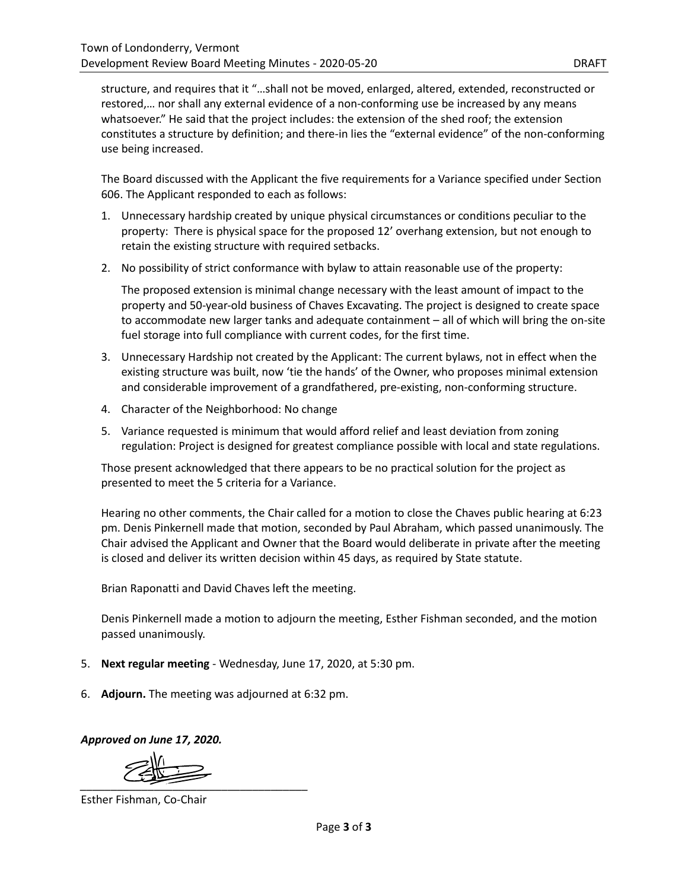structure, and requires that it "…shall not be moved, enlarged, altered, extended, reconstructed or restored,… nor shall any external evidence of a non-conforming use be increased by any means whatsoever." He said that the project includes: the extension of the shed roof; the extension constitutes a structure by definition; and there-in lies the "external evidence" of the non-conforming use being increased.

The Board discussed with the Applicant the five requirements for a Variance specified under Section 606. The Applicant responded to each as follows:

- 1. Unnecessary hardship created by unique physical circumstances or conditions peculiar to the property: There is physical space for the proposed 12' overhang extension, but not enough to retain the existing structure with required setbacks.
- 2. No possibility of strict conformance with bylaw to attain reasonable use of the property:

The proposed extension is minimal change necessary with the least amount of impact to the property and 50-year-old business of Chaves Excavating. The project is designed to create space to accommodate new larger tanks and adequate containment – all of which will bring the on-site fuel storage into full compliance with current codes, for the first time.

- 3. Unnecessary Hardship not created by the Applicant: The current bylaws, not in effect when the existing structure was built, now 'tie the hands' of the Owner, who proposes minimal extension and considerable improvement of a grandfathered, pre-existing, non-conforming structure.
- 4. Character of the Neighborhood: No change
- 5. Variance requested is minimum that would afford relief and least deviation from zoning regulation: Project is designed for greatest compliance possible with local and state regulations.

Those present acknowledged that there appears to be no practical solution for the project as presented to meet the 5 criteria for a Variance.

Hearing no other comments, the Chair called for a motion to close the Chaves public hearing at 6:23 pm. Denis Pinkernell made that motion, seconded by Paul Abraham, which passed unanimously. The Chair advised the Applicant and Owner that the Board would deliberate in private after the meeting is closed and deliver its written decision within 45 days, as required by State statute.

Brian Raponatti and David Chaves left the meeting.

Denis Pinkernell made a motion to adjourn the meeting, Esther Fishman seconded, and the motion passed unanimously.

- 5. **Next regular meeting** Wednesday, June 17, 2020, at 5:30 pm.
- 6. **Adjourn.** The meeting was adjourned at 6:32 pm.

*Approved on June 17, 2020.* 

*\_\_\_\_\_\_\_\_\_\_\_\_\_\_\_\_\_\_\_\_\_\_\_\_\_\_\_\_\_\_\_\_\_\_\_\_\_* 

Esther Fishman, Co-Chair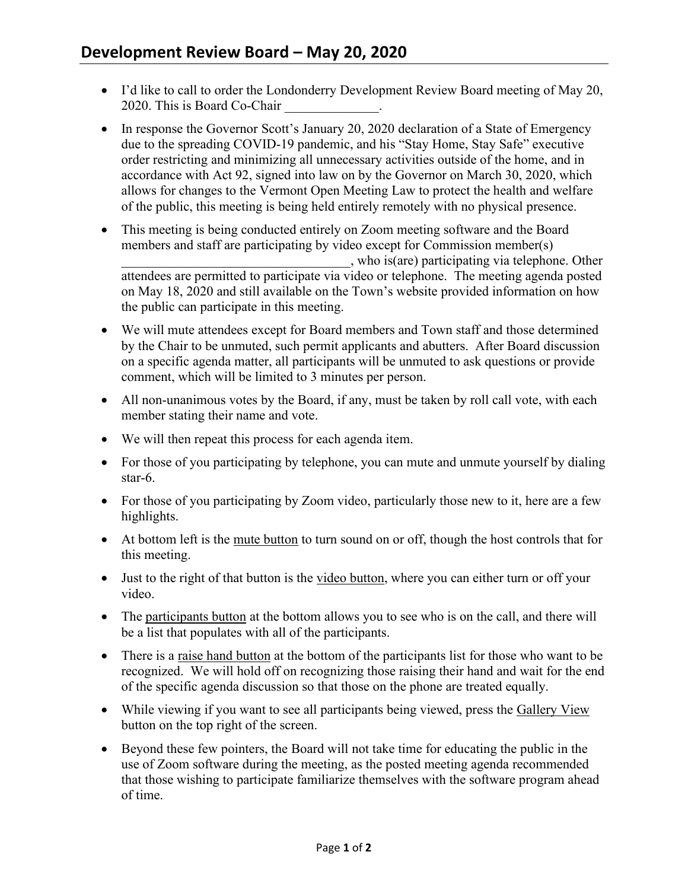- I'd like to call to order the Londonderry Development Review Board meeting of May 20, 2020. This is Board Co-Chair
- In response the Governor Scott's January 20, 2020 declaration of a State of Emergency due to the spreading COVID-19 pandemic, and his "Stay Home, Stay Safe" executive order restricting and minimizing all unnecessary activities outside of the home, and in accordance with Act 92, signed into law on by the Governor on March 30, 2020, which allows for changes to the Vermont Open Meeting Law to protect the health and welfare of the public, this meeting is being held entirely remotely with no physical presence.
- This meeting is being conducted entirely on Zoom meeting software and the Board members and staff are participating by video except for Commission member(s) \_\_\_\_\_\_\_\_\_\_\_\_\_\_\_\_\_\_\_\_\_\_\_\_\_\_\_\_\_\_\_\_\_\_, who is(are) participating via telephone. Other attendees are permitted to participate via video or telephone. The meeting agenda posted on May 18, 2020 and still available on the Town's website provided information on how the public can participate in this meeting.
- We will mute attendees except for Board members and Town staff and those determined by the Chair to be unmuted, such permit applicants and abutters. After Board discussion on a specific agenda matter, all participants will be unmuted to ask questions or provide comment, which will be limited to 3 minutes per person.
- All non-unanimous votes by the Board, if any, must be taken by roll call vote, with each member stating their name and vote.
- We will then repeat this process for each agenda item.
- For those of you participating by telephone, you can mute and unmute yourself by dialing star-6.
- For those of you participating by Zoom video, particularly those new to it, here are a few highlights.
- At bottom left is the mute button to turn sound on or off, though the host controls that for this meeting.
- Just to the right of that button is the video button, where you can either turn or off your video.
- The participants button at the bottom allows you to see who is on the call, and there will be a list that populates with all of the participants.
- There is a raise hand button at the bottom of the participants list for those who want to be recognized. We will hold off on recognizing those raising their hand and wait for the end of the specific agenda discussion so that those on the phone are treated equally.
- While viewing if you want to see all participants being viewed, press the Gallery View button on the top right of the screen.
- Beyond these few pointers, the Board will not take time for educating the public in the use of Zoom software during the meeting, as the posted meeting agenda recommended that those wishing to participate familiarize themselves with the software program ahead of time.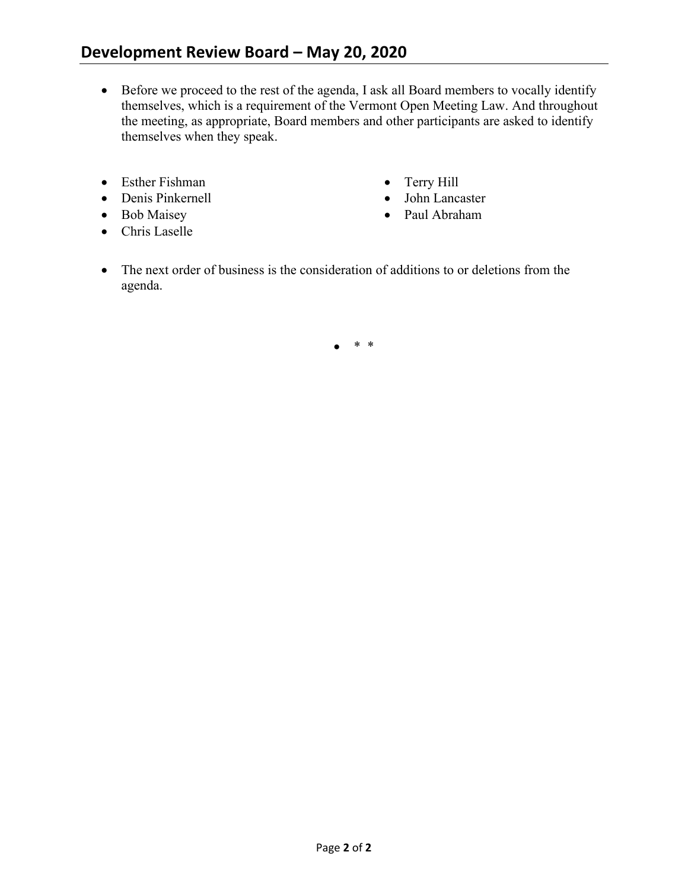- Before we proceed to the rest of the agenda, I ask all Board members to vocally identify themselves, which is a requirement of the Vermont Open Meeting Law. And throughout the meeting, as appropriate, Board members and other participants are asked to identify themselves when they speak.
- Esther Fishman
- Denis Pinkernell
- Bob Maisey
- Chris Laselle
- Terry Hill
- John Lancaster
- Paul Abraham
- The next order of business is the consideration of additions to or deletions from the agenda.

• \* \*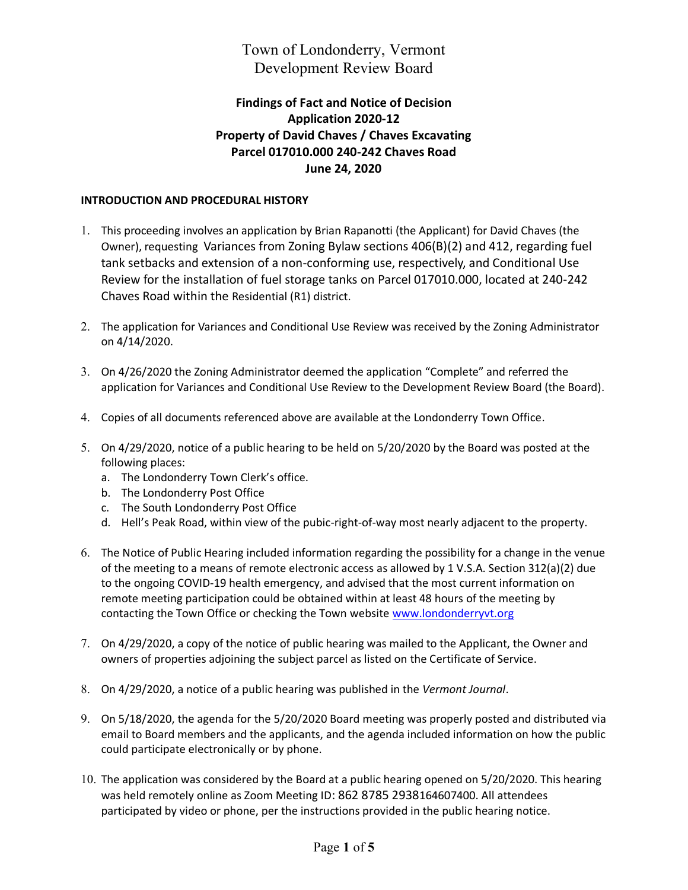## Town of Londonderry, Vermont Development Review Board

## **Findings of Fact and Notice of Decision Application 2020-12 Property of David Chaves / Chaves Excavating Parcel 017010.000 240-242 Chaves Road June 24, 2020**

### **INTRODUCTION AND PROCEDURAL HISTORY**

- 1. This proceeding involves an application by Brian Rapanotti (the Applicant) for David Chaves (the Owner), requesting Variances from Zoning Bylaw sections 406(B)(2) and 412, regarding fuel tank setbacks and extension of a non-conforming use, respectively, and Conditional Use Review for the installation of fuel storage tanks on Parcel 017010.000, located at 240-242 Chaves Road within the Residential (R1) district.
- 2. The application for Variances and Conditional Use Review was received by the Zoning Administrator on 4/14/2020.
- 3. On 4/26/2020 the Zoning Administrator deemed the application "Complete" and referred the application for Variances and Conditional Use Review to the Development Review Board (the Board).
- 4. Copies of all documents referenced above are available at the Londonderry Town Office.
- 5. On 4/29/2020, notice of a public hearing to be held on 5/20/2020 by the Board was posted at the following places:
	- a. The Londonderry Town Clerk's office.
	- b. The Londonderry Post Office
	- c. The South Londonderry Post Office
	- d. Hell's Peak Road, within view of the pubic-right-of-way most nearly adjacent to the property.
- 6. The Notice of Public Hearing included information regarding the possibility for a change in the venue of the meeting to a means of remote electronic access as allowed by 1 V.S.A. Section 312(a)(2) due to the ongoing COVID-19 health emergency, and advised that the most current information on remote meeting participation could be obtained within at least 48 hours of the meeting by contacting the Town Office or checking the Town website [www.londonderryvt.org](http://www.londonderryvt.org/)
- 7. On 4/29/2020, a copy of the notice of public hearing was mailed to the Applicant, the Owner and owners of properties adjoining the subject parcel as listed on the Certificate of Service.
- 8. On 4/29/2020, a notice of a public hearing was published in the *Vermont Journal*.
- 9. On 5/18/2020, the agenda for the 5/20/2020 Board meeting was properly posted and distributed via email to Board members and the applicants, and the agenda included information on how the public could participate electronically or by phone.
- 10. The application was considered by the Board at a public hearing opened on 5/20/2020. This hearing was held remotely online as Zoom Meeting ID: 862 8785 2938164607400. All attendees participated by video or phone, per the instructions provided in the public hearing notice.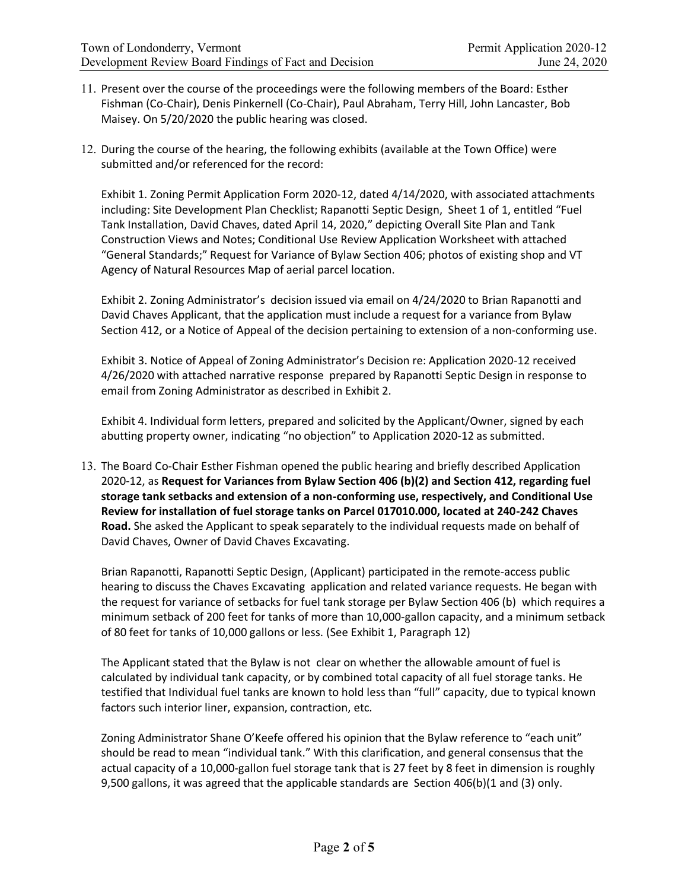- 11. Present over the course of the proceedings were the following members of the Board: Esther Fishman (Co-Chair), Denis Pinkernell (Co-Chair), Paul Abraham, Terry Hill, John Lancaster, Bob Maisey. On 5/20/2020 the public hearing was closed.
- 12. During the course of the hearing, the following exhibits (available at the Town Office) were submitted and/or referenced for the record:

Exhibit 1. Zoning Permit Application Form 2020-12, dated 4/14/2020, with associated attachments including: Site Development Plan Checklist; Rapanotti Septic Design, Sheet 1 of 1, entitled "Fuel Tank Installation, David Chaves, dated April 14, 2020," depicting Overall Site Plan and Tank Construction Views and Notes; Conditional Use Review Application Worksheet with attached "General Standards;" Request for Variance of Bylaw Section 406; photos of existing shop and VT Agency of Natural Resources Map of aerial parcel location.

Exhibit 2. Zoning Administrator's decision issued via email on 4/24/2020 to Brian Rapanotti and David Chaves Applicant, that the application must include a request for a variance from Bylaw Section 412, or a Notice of Appeal of the decision pertaining to extension of a non-conforming use.

Exhibit 3. Notice of Appeal of Zoning Administrator's Decision re: Application 2020-12 received 4/26/2020 with attached narrative response prepared by Rapanotti Septic Design in response to email from Zoning Administrator as described in Exhibit 2.

Exhibit 4. Individual form letters, prepared and solicited by the Applicant/Owner, signed by each abutting property owner, indicating "no objection" to Application 2020-12 as submitted.

13. The Board Co-Chair Esther Fishman opened the public hearing and briefly described Application 2020-12, as **Request for Variances from Bylaw Section 406 (b)(2) and Section 412, regarding fuel storage tank setbacks and extension of a non-conforming use, respectively, and Conditional Use Review for installation of fuel storage tanks on Parcel 017010.000, located at 240-242 Chaves Road.** She asked the Applicant to speak separately to the individual requests made on behalf of David Chaves, Owner of David Chaves Excavating.

Brian Rapanotti, Rapanotti Septic Design, (Applicant) participated in the remote-access public hearing to discuss the Chaves Excavating application and related variance requests. He began with the request for variance of setbacks for fuel tank storage per Bylaw Section 406 (b) which requires a minimum setback of 200 feet for tanks of more than 10,000-gallon capacity, and a minimum setback of 80 feet for tanks of 10,000 gallons or less. (See Exhibit 1, Paragraph 12)

The Applicant stated that the Bylaw is not clear on whether the allowable amount of fuel is calculated by individual tank capacity, or by combined total capacity of all fuel storage tanks. He testified that Individual fuel tanks are known to hold less than "full" capacity, due to typical known factors such interior liner, expansion, contraction, etc.

Zoning Administrator Shane O'Keefe offered his opinion that the Bylaw reference to "each unit" should be read to mean "individual tank." With this clarification, and general consensus that the actual capacity of a 10,000-gallon fuel storage tank that is 27 feet by 8 feet in dimension is roughly 9,500 gallons, it was agreed that the applicable standards are Section 406(b)(1 and (3) only.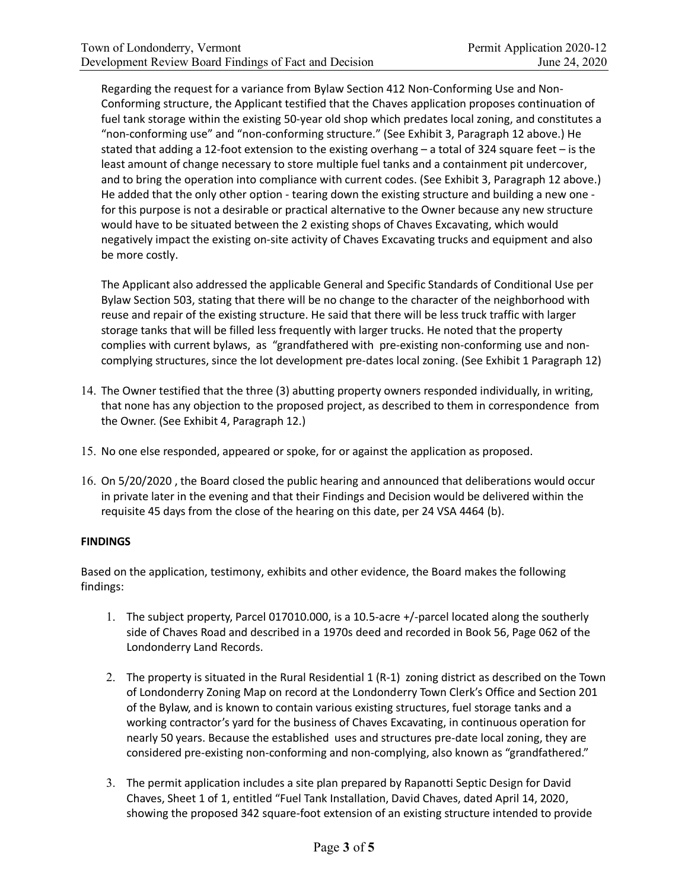Regarding the request for a variance from Bylaw Section 412 Non-Conforming Use and Non-Conforming structure, the Applicant testified that the Chaves application proposes continuation of fuel tank storage within the existing 50-year old shop which predates local zoning, and constitutes a "non-conforming use" and "non-conforming structure." (See Exhibit ϯ, Paragraph 12 above.) He stated that adding a 12-foot extension to the existing overhang – a total of 324 square feet – is the least amount of change necessary to store multiple fuel tanks and a containment pit undercover, and to bring the operation into compliance with current codes. (See Exhibit 3, Paragraph 12 above.) He added that the only other option - tearing down the existing structure and building a new one for this purpose is not a desirable or practical alternative to the Owner because any new structure would have to be situated between the 2 existing shops of Chaves Excavating, which would negatively impact the existing on-site activity of Chaves Excavating trucks and equipment and also be more costly.

The Applicant also addressed the applicable General and Specific Standards of Conditional Use per Bylaw Section 503, stating that there will be no change to the character of the neighborhood with reuse and repair of the existing structure. He said that there will be less truck traffic with larger storage tanks that will be filled less frequently with larger trucks. He noted that the property complies with current bylaws, as "grandfathered with pre-existing non-conforming use and noncomplying structures, since the lot development pre-dates local zoning. (See Exhibit 1 Paragraph 12)

- 14. The Owner testified that the three (3) abutting property owners responded individually, in writing, that none has any objection to the proposed project, as described to them in correspondence from the Owner. (See Exhibit 4, Paragraph 12.)
- 15. No one else responded, appeared or spoke, for or against the application as proposed.
- 16. On 5/20/2020, the Board closed the public hearing and announced that deliberations would occur in private later in the evening and that their Findings and Decision would be delivered within the requisite 45 days from the close of the hearing on this date, per 24 VSA 4464 (b).

#### **FINDINGS**

Based on the application, testimony, exhibits and other evidence, the Board makes the following findings:

- 1. The subject property, Parcel 017010.000, is a 10.5-acre +/-parcel located along the southerly side of Chaves Road and described in a 1970s deed and recorded in Book 56, Page 062 of the Londonderry Land Records.
- 2. The property is situated in the Rural Residential 1 (R-1) zoning district as described on the Town of Londonderry Zoning Map on record at the Londonderry Town Clerk's Office and Section 201 of the Bylaw, and is known to contain various existing structures, fuel storage tanks and a working contractor's yard for the business of Chaves Excavating, in continuous operation for nearly 50 years. Because the established uses and structures pre-date local zoning, they are considered pre-existing non-conforming and non-complying, also known as "grandfathered."
- 3. The permit application includes a site plan prepared by Rapanotti Septic Design for David Chaves, Sheet 1 of 1, entitled "Fuel Tank Installation, David Chaves, dated April 14, 2020, showing the proposed 342 square-foot extension of an existing structure intended to provide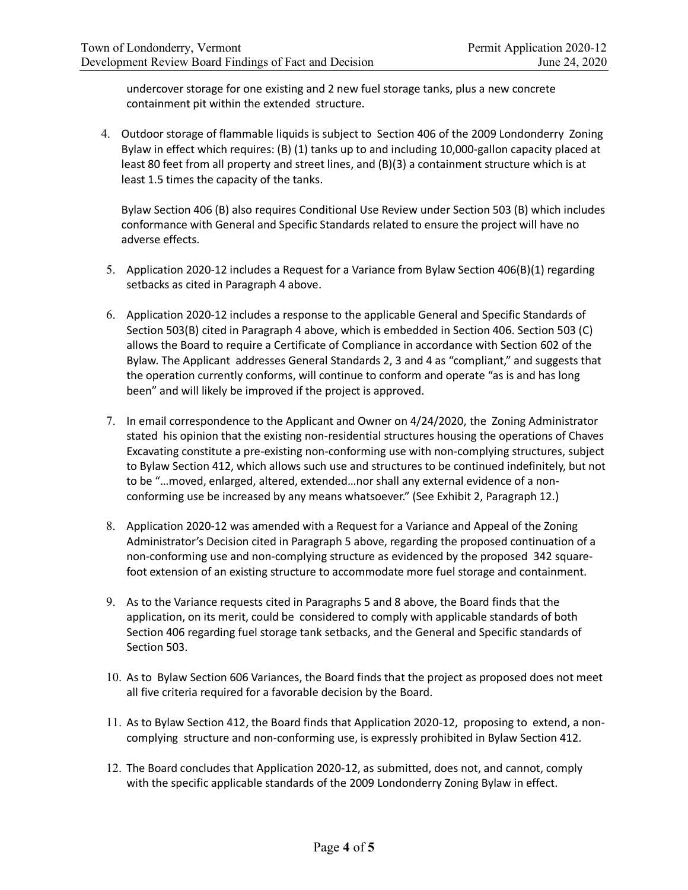undercover storage for one existing and 2 new fuel storage tanks, plus a new concrete containment pit within the extended structure.

4. Outdoor storage of flammable liquids is subject to Section 406 of the 2009 Londonderry Zoning Bylaw in effect which requires: (B) (1) tanks up to and including 10,000-gallon capacity placed at least 80 feet from all property and street lines, and (B)(3) a containment structure which is at least 1.5 times the capacity of the tanks.

Bylaw Section 406 (B) also requires Conditional Use Review under Section 503 (B) which includes conformance with General and Specific Standards related to ensure the project will have no adverse effects.

- 5. Application 2020-12 includes a Request for a Variance from Bylaw Section 406(B)(1) regarding setbacks as cited in Paragraph 4 above.
- 6. Application 2020-12 includes a response to the applicable General and Specific Standards of Section 503(B) cited in Paragraph 4 above, which is embedded in Section 406. Section 503 (C) allows the Board to require a Certificate of Compliance in accordance with Section 602 of the Bylaw. The Applicant addresses General Standards 2, 3 and 4 as "compliant," and suggests that the operation currently conforms, will continue to conform and operate "as is and has long been" and will likely be improved if the project is approved.
- 7. In email correspondence to the Applicant and Owner on 4/24/2020, the Zoning Administrator stated his opinion that the existing non-residential structures housing the operations of Chaves Excavating constitute a pre-existing non-conforming use with non-complying structures, subject to Bylaw Section 412, which allows such use and structures to be continued indefinitely, but not to be "…moved, enlarged, altered, extended…nor shall any external evidence of a nonconforming use be increased by any means whatsoever." (See Exhibit 2, Paragraph 12.)
- 8. Application 2020-12 was amended with a Request for a Variance and Appeal of the Zoning Administrator's Decision cited in Paragraph 5 above, regarding the proposed continuation of a non-conforming use and non-complying structure as evidenced by the proposed 342 squarefoot extension of an existing structure to accommodate more fuel storage and containment.
- 9. As to the Variance requests cited in Paragraphs 5 and 8 above, the Board finds that the application, on its merit, could be considered to comply with applicable standards of both Section 406 regarding fuel storage tank setbacks, and the General and Specific standards of Section 503.
- 10. As to Bylaw Section 606 Variances, the Board finds that the project as proposed does not meet all five criteria required for a favorable decision by the Board.
- 11. As to Bylaw Section 412, the Board finds that Application 2020-12, proposing to extend, a noncomplying structure and non-conforming use, is expressly prohibited in Bylaw Section 412.
- 12. The Board concludes that Application 2020-12, as submitted, does not, and cannot, comply with the specific applicable standards of the 2009 Londonderry Zoning Bylaw in effect.